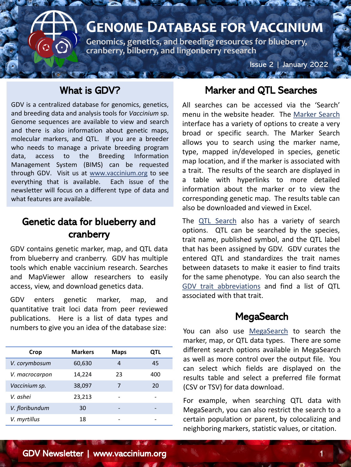

Issue 2 | January 2022

### What is GDV?

GDV is a centralized database for genomics, genetics, and breeding data and analysis tools for *Vaccinium* sp. Genome sequences are available to view and search and there is also information about genetic maps, molecular markers, and QTL. If you are a breeder who needs to manage a private breeding program data, access to the Breeding Information Management System (BIMS) can be requested through GDV. Visit us at [www.vaccinium.org](http://www.vaccinium.org/) to see everything that is available. Each issue of the newsletter will focus on a different type of data and what features are available.

## Genetic data for blueberry and cranberry

GDV contains genetic marker, map, and QTL data from blueberry and cranberry. GDV has multiple tools which enable vaccinium research. Searches and MapViewer allow researchers to easily access, view, and download genetics data.

GDV enters genetic marker, map, and quantitative trait loci data from peer reviewed publications. Here is a list of data types and numbers to give you an idea of the database size:

| Crop           | <b>Markers</b> | <b>Maps</b> | QTL |
|----------------|----------------|-------------|-----|
| V. corymbosum  | 60,630         | 4           | 45  |
| V. macrocarpon | 14,224         | 23          | 400 |
| Vaccinium sp.  | 38,097         | 7           | 20  |
| V. ashei       | 23,213         |             |     |
| V. floribundum | 30             |             |     |
| V. myrtillus   | 18             |             |     |

### Marker and QTL Searches

All searches can be accessed via the 'Search' menu in the website header. The [Marker](https://www.vaccinium.org/search/markers) Search interface has a variety of options to create a very broad or specific search. The Marker Search allows you to search using the marker name, type, mapped in/developed in species, genetic map location, and if the marker is associated with a trait. The results of the search are displayed in a table with hyperlinks to more detailed information about the marker or to view the corresponding genetic map. The results table can also be downloaded and viewed in Excel.

The QTL [Search](https://www.vaccinium.org/search/qtl) also has a variety of search options. QTL can be searched by the species, trait name, published symbol, and the QTL label that has been assigned by GDV. GDV curates the entered QTL and standardizes the trait names between datasets to make it easier to find traits for the same phenotype. You can also search the GDV trait [abbreviations](https://www.vaccinium.org/trait_listing) and find a list of QTL associated with that trait.

### **MegaSearch**

You can also use [MegaSearch](https://www.vaccinium.org/tripal_megasearch) to search the marker, map, or QTL data types. There are some different search options available in MegaSearch as well as more control over the output file. You can select which fields are displayed on the results table and select a preferred file format (CSV or TSV) for data download.

For example, when searching QTL data with MegaSearch, you can also restrict the search to a certain population or parent, by colocalizing and neighboring markers, statistic values, or citation.